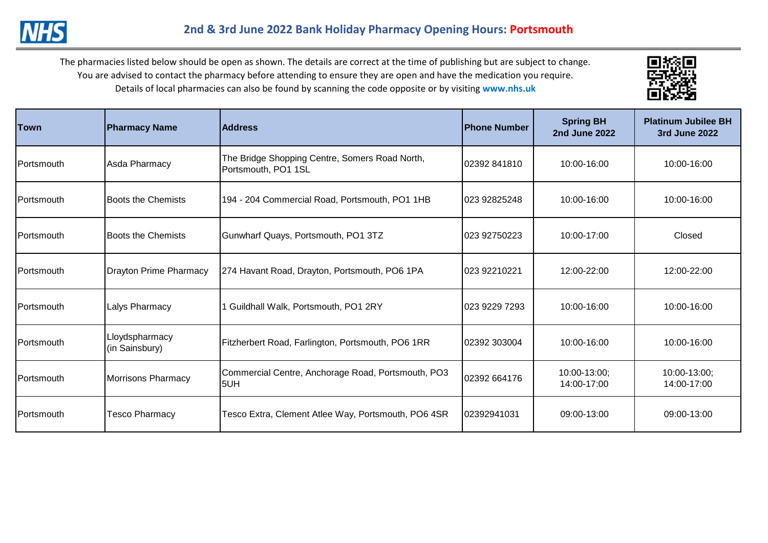

| <b>Town</b>        | <b>Pharmacy Name</b>             | <b>Address</b>                                                        | <b>IPhone Number</b> | <b>Spring BH</b><br><b>2nd June 2022</b> | <b>Platinum Jubilee BH</b><br>3rd June 2022 |
|--------------------|----------------------------------|-----------------------------------------------------------------------|----------------------|------------------------------------------|---------------------------------------------|
| <b>IPortsmouth</b> | Asda Pharmacy                    | The Bridge Shopping Centre, Somers Road North,<br>Portsmouth, PO1 1SL | 02392 841810         | 10:00-16:00                              | 10:00-16:00                                 |
| Portsmouth         | <b>Boots the Chemists</b>        | 194 - 204 Commercial Road, Portsmouth, PO1 1HB                        | 023 92825248         | 10:00-16:00                              | 10:00-16:00                                 |
| <b>IPortsmouth</b> | <b>Boots the Chemists</b>        | Gunwharf Quays, Portsmouth, PO1 3TZ                                   | 023 92750223         | 10:00-17:00                              | Closed                                      |
| <b>IPortsmouth</b> | <b>Drayton Prime Pharmacy</b>    | 274 Havant Road, Drayton, Portsmouth, PO6 1PA                         | 023 92210221         | 12:00-22:00                              | 12:00-22:00                                 |
| Portsmouth         | Lalys Pharmacy                   | I Guildhall Walk, Portsmouth, PO1 2RY                                 | 023 9229 7293        | 10:00-16:00                              | 10:00-16:00                                 |
| Portsmouth         | Lloydspharmacy<br>(in Sainsbury) | Fitzherbert Road, Farlington, Portsmouth, PO6 1RR                     | 02392 303004         | 10:00-16:00                              | 10:00-16:00                                 |
| Portsmouth         | <b>Morrisons Pharmacy</b>        | Commercial Centre, Anchorage Road, Portsmouth, PO3<br>5UH             | 02392 664176         | 10:00-13:00;<br>14:00-17:00              | 10:00-13:00;<br>14:00-17:00                 |
| <b>IPortsmouth</b> | <b>Tesco Pharmacy</b>            | Tesco Extra, Clement Atlee Way, Portsmouth, PO6 4SR                   | 02392941031          | 09:00-13:00                              | 09:00-13:00                                 |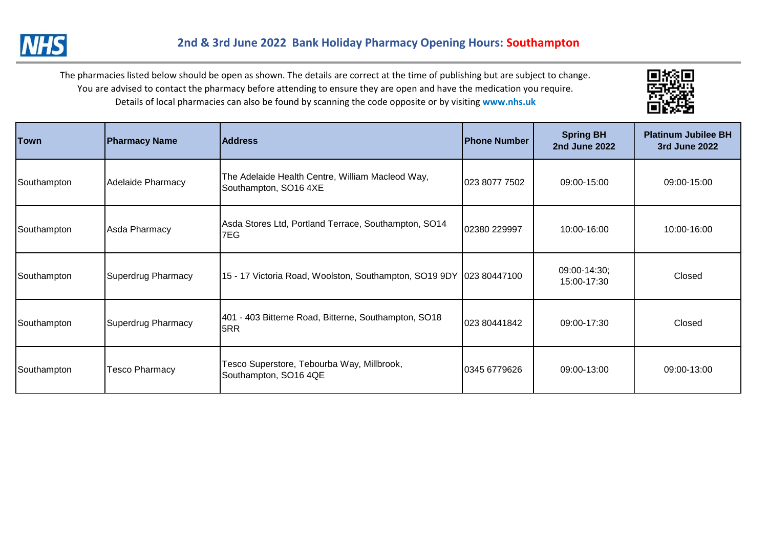



| <b>Town</b> | <b>Pharmacy Name</b>  | <b>Address</b>                                                            | <b>Phone Number</b> | <b>Spring BH</b><br><b>2nd June 2022</b> | <b>Platinum Jubilee BH</b><br>3rd June 2022 |
|-------------|-----------------------|---------------------------------------------------------------------------|---------------------|------------------------------------------|---------------------------------------------|
| Southampton | Adelaide Pharmacy     | The Adelaide Health Centre, William Macleod Way,<br>Southampton, SO16 4XE | 023 8077 7502       | 09:00-15:00                              | 09:00-15:00                                 |
| Southampton | Asda Pharmacy         | Asda Stores Ltd, Portland Terrace, Southampton, SO14<br>7EG               | 02380 229997        | 10:00-16:00                              | 10:00-16:00                                 |
| Southampton | Superdrug Pharmacy    | 15 - 17 Victoria Road, Woolston, Southampton, SO19 9DY 023 80447100       |                     | 09:00-14:30;<br>15:00-17:30              | Closed                                      |
| Southampton | Superdrug Pharmacy    | 401 - 403 Bitterne Road, Bitterne, Southampton, SO18<br>5RR               | 023 80441842        | 09:00-17:30                              | Closed                                      |
| Southampton | <b>Tesco Pharmacy</b> | Fesco Superstore, Tebourba Way, Millbrook,<br>Southampton, SO16 4QE       | 0345 6779626        | 09:00-13:00                              | 09:00-13:00                                 |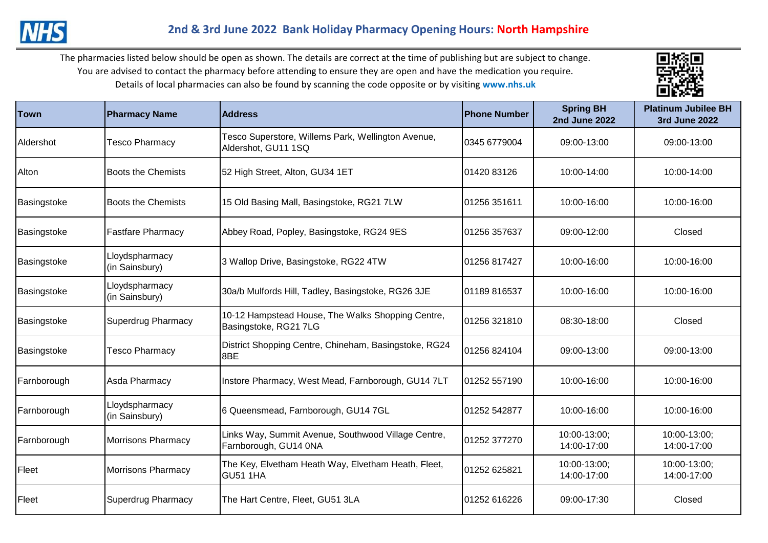

| Town        | <b>Pharmacy Name</b>             | <b>Address</b>                                                               | <b>Phone Number</b> | <b>Spring BH</b><br><b>2nd June 2022</b> | <b>Platinum Jubilee BH</b><br><b>3rd June 2022</b> |
|-------------|----------------------------------|------------------------------------------------------------------------------|---------------------|------------------------------------------|----------------------------------------------------|
| Aldershot   | <b>Tesco Pharmacy</b>            | Tesco Superstore, Willems Park, Wellington Avenue,<br>Aldershot, GU11 1SQ    | 0345 6779004        | 09:00-13:00                              | 09:00-13:00                                        |
| Alton       | <b>Boots the Chemists</b>        | 52 High Street, Alton, GU34 1ET                                              | 01420 83126         | 10:00-14:00                              | 10:00-14:00                                        |
| Basingstoke | <b>Boots the Chemists</b>        | 15 Old Basing Mall, Basingstoke, RG21 7LW                                    | 01256 351611        | 10:00-16:00                              | 10:00-16:00                                        |
| Basingstoke | <b>Fastfare Pharmacy</b>         | Abbey Road, Popley, Basingstoke, RG24 9ES                                    | 01256 357637        | 09:00-12:00                              | Closed                                             |
| Basingstoke | Lloydspharmacy<br>(in Sainsbury) | 3 Wallop Drive, Basingstoke, RG22 4TW                                        | 01256 817427        | 10:00-16:00                              | 10:00-16:00                                        |
| Basingstoke | Lloydspharmacy<br>(in Sainsbury) | 30a/b Mulfords Hill, Tadley, Basingstoke, RG26 3JE                           | 01189 816537        | 10:00-16:00                              | 10:00-16:00                                        |
| Basingstoke | <b>Superdrug Pharmacy</b>        | 10-12 Hampstead House, The Walks Shopping Centre,<br>Basingstoke, RG21 7LG   | 01256 321810        | 08:30-18:00                              | Closed                                             |
| Basingstoke | <b>Tesco Pharmacy</b>            | District Shopping Centre, Chineham, Basingstoke, RG24<br>8BE                 | 01256 824104        | 09:00-13:00                              | 09:00-13:00                                        |
| Farnborough | Asda Pharmacy                    | Instore Pharmacy, West Mead, Farnborough, GU14 7LT                           | 01252 557190        | 10:00-16:00                              | 10:00-16:00                                        |
| Farnborough | Lloydspharmacy<br>(in Sainsbury) | 6 Queensmead, Farnborough, GU14 7GL                                          | 01252 542877        | 10:00-16:00                              | 10:00-16:00                                        |
| Farnborough | <b>Morrisons Pharmacy</b>        | Links Way, Summit Avenue, Southwood Village Centre,<br>Farnborough, GU14 0NA | 01252 377270        | 10:00-13:00;<br>14:00-17:00              | 10:00-13:00;<br>14:00-17:00                        |
| Fleet       | <b>Morrisons Pharmacy</b>        | The Key, Elvetham Heath Way, Elvetham Heath, Fleet,<br><b>GU51 1HA</b>       | 01252 625821        | 10:00-13:00;<br>14:00-17:00              | 10:00-13:00:<br>14:00-17:00                        |
| Fleet       | <b>Superdrug Pharmacy</b>        | The Hart Centre, Fleet, GU51 3LA                                             | 01252 616226        | 09:00-17:30                              | Closed                                             |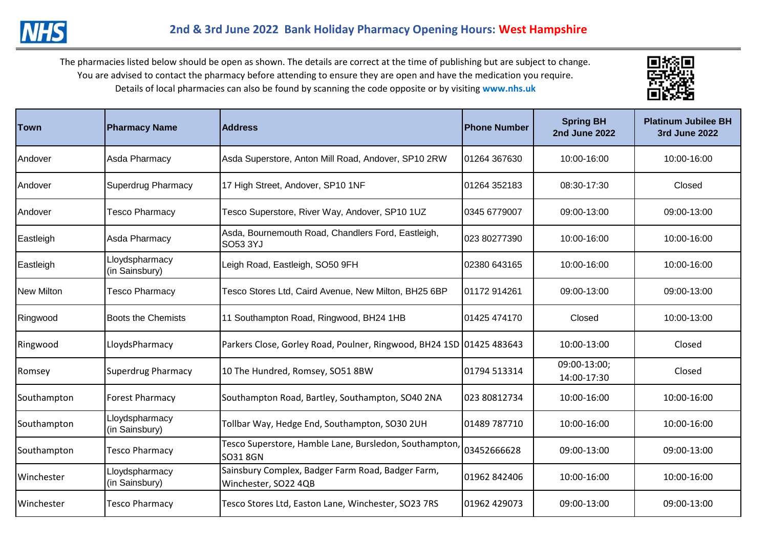

| Town              | <b>Pharmacy Name</b>             | <b>Address</b>                                                            | <b>Phone Number</b> | <b>Spring BH</b><br><b>2nd June 2022</b> | <b>Platinum Jubilee BH</b><br><b>3rd June 2022</b> |
|-------------------|----------------------------------|---------------------------------------------------------------------------|---------------------|------------------------------------------|----------------------------------------------------|
| Andover           | Asda Pharmacy                    | Asda Superstore, Anton Mill Road, Andover, SP10 2RW                       | 01264 367630        | 10:00-16:00                              | 10:00-16:00                                        |
| Andover           | <b>Superdrug Pharmacy</b>        | 17 High Street, Andover, SP10 1NF                                         | 01264 352183        | 08:30-17:30                              | Closed                                             |
| <b>IAndover</b>   | <b>Tesco Pharmacy</b>            | Tesco Superstore, River Way, Andover, SP10 1UZ                            | 0345 6779007        | 09:00-13:00                              | 09:00-13:00                                        |
| Eastleigh         | Asda Pharmacy                    | Asda, Bournemouth Road, Chandlers Ford, Eastleigh,<br>SO53 3YJ            | 023 80277390        | 10:00-16:00                              | 10:00-16:00                                        |
| Eastleigh         | Lloydspharmacy<br>(in Sainsbury) | Leigh Road, Eastleigh, SO50 9FH                                           | 02380 643165        | 10:00-16:00                              | 10:00-16:00                                        |
| <b>New Milton</b> | <b>Tesco Pharmacy</b>            | Tesco Stores Ltd, Caird Avenue, New Milton, BH25 6BP                      | 01172 914261        | 09:00-13:00                              | 09:00-13:00                                        |
| Ringwood          | <b>Boots the Chemists</b>        | 11 Southampton Road, Ringwood, BH24 1HB                                   | 01425 474170        | Closed                                   | 10:00-13:00                                        |
| Ringwood          | LloydsPharmacy                   | Parkers Close, Gorley Road, Poulner, Ringwood, BH24 1SD 01425 483643      |                     | 10:00-13:00                              | Closed                                             |
| Romsey            | <b>Superdrug Pharmacy</b>        | 10 The Hundred, Romsey, SO51 8BW                                          | 01794 513314        | 09:00-13:00;<br>14:00-17:30              | Closed                                             |
| Southampton       | <b>Forest Pharmacy</b>           | Southampton Road, Bartley, Southampton, SO40 2NA                          | 023 80812734        | 10:00-16:00                              | 10:00-16:00                                        |
| Southampton       | Lloydspharmacy<br>(in Sainsbury) | Tollbar Way, Hedge End, Southampton, SO30 2UH                             | 01489 787710        | 10:00-16:00                              | 10:00-16:00                                        |
| Southampton       | <b>Tesco Pharmacy</b>            | Tesco Superstore, Hamble Lane, Bursledon, Southampton,<br>SO318GN         | 03452666628         | 09:00-13:00                              | 09:00-13:00                                        |
| Winchester        | Lloydspharmacy<br>(in Sainsbury) | Sainsbury Complex, Badger Farm Road, Badger Farm,<br>Winchester, SO22 4QB | 01962 842406        | 10:00-16:00                              | 10:00-16:00                                        |
| Winchester        | <b>Tesco Pharmacy</b>            | Tesco Stores Ltd, Easton Lane, Winchester, SO23 7RS                       | 01962 429073        | 09:00-13:00                              | 09:00-13:00                                        |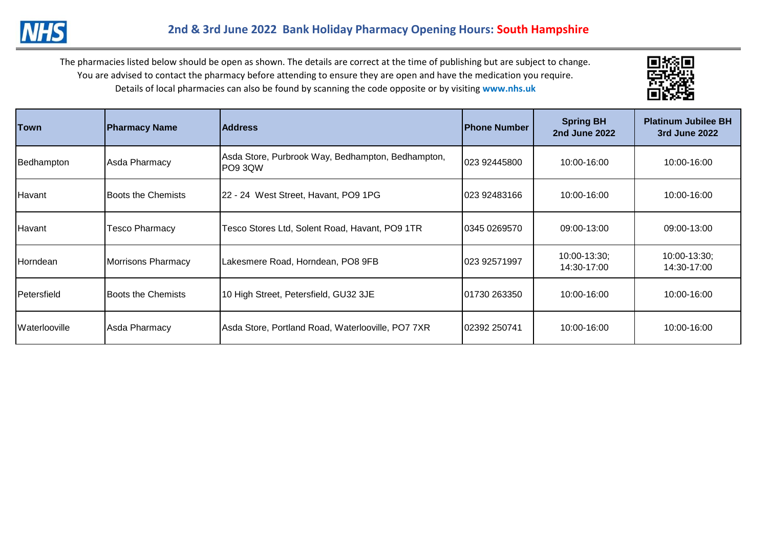

| Town                 | <b>Pharmacy Name</b>       | <b>Address</b>                                                | <b>Phone Number</b> | <b>Spring BH</b><br><b>2nd June 2022</b> | <b>Platinum Jubilee BH</b><br>3rd June 2022 |
|----------------------|----------------------------|---------------------------------------------------------------|---------------------|------------------------------------------|---------------------------------------------|
| Bedhampton           | Asda Pharmacy              | Asda Store, Purbrook Way, Bedhampton, Bedhampton,<br>IPO9 3QW | 023 92445800        | 10:00-16:00                              | 10:00-16:00                                 |
| Havant               | Boots the Chemists         | 22 - 24 West Street, Havant, PO9 1PG                          | 023 92483166        | 10:00-16:00                              | 10:00-16:00                                 |
| Havant               | Tesco Pharmacy             | Tesco Stores Ltd, Solent Road, Havant, PO9 1TR                | 0345 0269570        | 09:00-13:00                              | 09:00-13:00                                 |
| <b>Horndean</b>      | <b>Morrisons Pharmacy</b>  | Lakesmere Road, Horndean, PO8 9FB                             | 023 92571997        | 10:00-13:30;<br>14:30-17:00              | $10:00 - 13:30$ ;<br>14:30-17:00            |
| <b>I</b> Petersfield | <b>IBoots the Chemists</b> | 10 High Street, Petersfield, GU32 3JE                         | 01730 263350        | 10:00-16:00                              | 10:00-16:00                                 |
| <b>Waterlooville</b> | Asda Pharmacy              | Asda Store, Portland Road, Waterlooville, PO7 7XR             | 02392 250741        | 10:00-16:00                              | 10:00-16:00                                 |